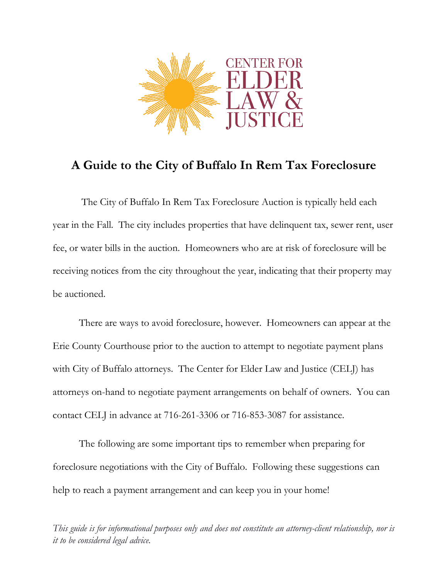

# **A Guide to the City of Buffalo In Rem Tax Foreclosure**

The City of Buffalo In Rem Tax Foreclosure Auction is typically held each year in the Fall. The city includes properties that have delinquent tax, sewer rent, user fee, or water bills in the auction. Homeowners who are at risk of foreclosure will be receiving notices from the city throughout the year, indicating that their property may be auctioned.

There are ways to avoid foreclosure, however. Homeowners can appear at the Erie County Courthouse prior to the auction to attempt to negotiate payment plans with City of Buffalo attorneys. The Center for Elder Law and Justice (CELJ) has attorneys on-hand to negotiate payment arrangements on behalf of owners. You can contact CELJ in advance at 716-261-3306 or 716-853-3087 for assistance.

The following are some important tips to remember when preparing for foreclosure negotiations with the City of Buffalo. Following these suggestions can help to reach a payment arrangement and can keep you in your home!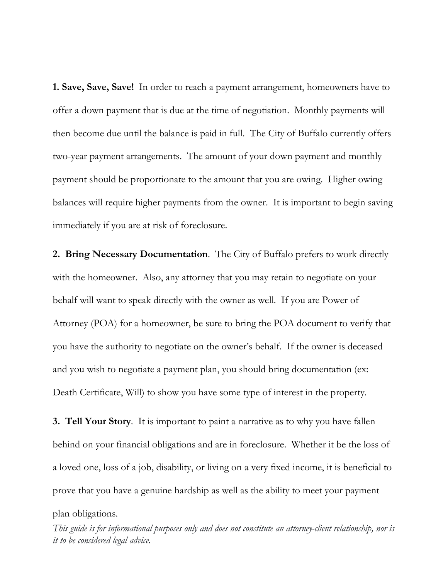**1. Save, Save, Save!** In order to reach a payment arrangement, homeowners have to offer a down payment that is due at the time of negotiation. Monthly payments will then become due until the balance is paid in full. The City of Buffalo currently offers two-year payment arrangements. The amount of your down payment and monthly payment should be proportionate to the amount that you are owing. Higher owing balances will require higher payments from the owner. It is important to begin saving immediately if you are at risk of foreclosure.

**2. Bring Necessary Documentation**. The City of Buffalo prefers to work directly with the homeowner. Also, any attorney that you may retain to negotiate on your behalf will want to speak directly with the owner as well. If you are Power of Attorney (POA) for a homeowner, be sure to bring the POA document to verify that you have the authority to negotiate on the owner's behalf. If the owner is deceased and you wish to negotiate a payment plan, you should bring documentation (ex: Death Certificate, Will) to show you have some type of interest in the property.

**3. Tell Your Story**. It is important to paint a narrative as to why you have fallen behind on your financial obligations and are in foreclosure. Whether it be the loss of a loved one, loss of a job, disability, or living on a very fixed income, it is beneficial to prove that you have a genuine hardship as well as the ability to meet your payment

plan obligations.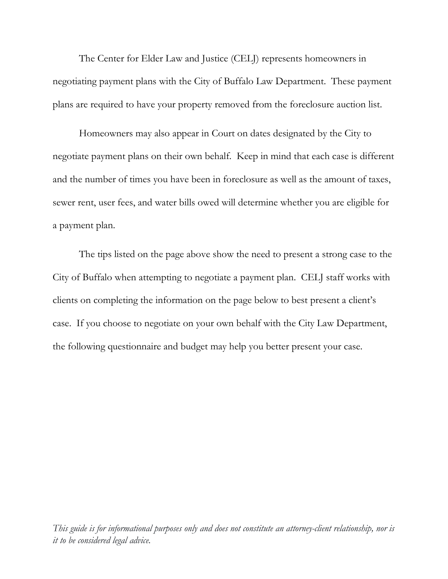The Center for Elder Law and Justice (CELJ) represents homeowners in negotiating payment plans with the City of Buffalo Law Department. These payment plans are required to have your property removed from the foreclosure auction list.

Homeowners may also appear in Court on dates designated by the City to negotiate payment plans on their own behalf. Keep in mind that each case is different and the number of times you have been in foreclosure as well as the amount of taxes, sewer rent, user fees, and water bills owed will determine whether you are eligible for a payment plan.

The tips listed on the page above show the need to present a strong case to the City of Buffalo when attempting to negotiate a payment plan. CELJ staff works with clients on completing the information on the page below to best present a client's case. If you choose to negotiate on your own behalf with the City Law Department, the following questionnaire and budget may help you better present your case.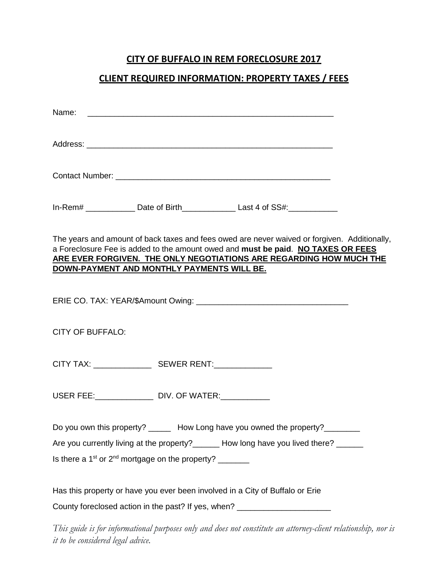### **CITY OF BUFFALO IN REM FORECLOSURE 2017**

#### **CLIENT REQUIRED INFORMATION: PROPERTY TAXES / FEES**

| In-Rem# ________________ Date of Birth____________________Last 4 of SS#:_______________                                                                                                                                                                                                               |
|-------------------------------------------------------------------------------------------------------------------------------------------------------------------------------------------------------------------------------------------------------------------------------------------------------|
| The years and amount of back taxes and fees owed are never waived or forgiven. Additionally,<br>a Foreclosure Fee is added to the amount owed and must be paid. NO TAXES OR FEES<br>ARE EVER FORGIVEN. THE ONLY NEGOTIATIONS ARE REGARDING HOW MUCH THE<br>DOWN-PAYMENT AND MONTHLY PAYMENTS WILL BE. |
|                                                                                                                                                                                                                                                                                                       |
| <b>CITY OF BUFFALO:</b>                                                                                                                                                                                                                                                                               |
|                                                                                                                                                                                                                                                                                                       |
| USER FEE: _______________________ DIV. OF WATER: ______________                                                                                                                                                                                                                                       |
| Do you own this property? _______ How Long have you owned the property? ________<br>Are you currently living at the property?______ How long have you lived there? _____<br>Is there a $1st$ or $2nd$ mortgage on the property? ________                                                              |
| Has this property or have you ever been involved in a City of Buffalo or Erie<br>County foreclosed action in the past? If yes, when? ____________________________                                                                                                                                     |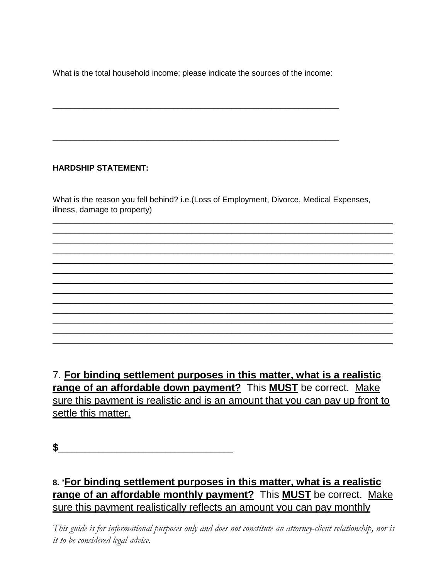What is the total household income; please indicate the sources of the income:

\_\_\_\_\_\_\_\_\_\_\_\_\_\_\_\_\_\_\_\_\_\_\_\_\_\_\_\_\_\_\_\_\_\_\_\_\_\_\_\_\_\_\_\_\_\_\_\_\_\_\_\_\_\_\_\_\_\_\_\_\_\_\_\_

\_\_\_\_\_\_\_\_\_\_\_\_\_\_\_\_\_\_\_\_\_\_\_\_\_\_\_\_\_\_\_\_\_\_\_\_\_\_\_\_\_\_\_\_\_\_\_\_\_\_\_\_\_\_\_\_\_\_\_\_\_\_\_\_

### **HARDSHIP STATEMENT:**

What is the reason you fell behind? i.e.(Loss of Employment, Divorce, Medical Expenses, illness, damage to property)

\_\_\_\_\_\_\_\_\_\_\_\_\_\_\_\_\_\_\_\_\_\_\_\_\_\_\_\_\_\_\_\_\_\_\_\_\_\_\_\_\_\_\_\_\_\_\_\_\_\_\_\_\_\_\_\_\_\_\_\_\_\_\_\_\_\_\_\_\_\_\_\_\_\_\_\_ \_\_\_\_\_\_\_\_\_\_\_\_\_\_\_\_\_\_\_\_\_\_\_\_\_\_\_\_\_\_\_\_\_\_\_\_\_\_\_\_\_\_\_\_\_\_\_\_\_\_\_\_\_\_\_\_\_\_\_\_\_\_\_\_\_\_\_\_\_\_\_\_\_\_\_\_ \_\_\_\_\_\_\_\_\_\_\_\_\_\_\_\_\_\_\_\_\_\_\_\_\_\_\_\_\_\_\_\_\_\_\_\_\_\_\_\_\_\_\_\_\_\_\_\_\_\_\_\_\_\_\_\_\_\_\_\_\_\_\_\_\_\_\_\_\_\_\_\_\_\_\_\_ \_\_\_\_\_\_\_\_\_\_\_\_\_\_\_\_\_\_\_\_\_\_\_\_\_\_\_\_\_\_\_\_\_\_\_\_\_\_\_\_\_\_\_\_\_\_\_\_\_\_\_\_\_\_\_\_\_\_\_\_\_\_\_\_\_\_\_\_\_\_\_\_\_\_\_\_ \_\_\_\_\_\_\_\_\_\_\_\_\_\_\_\_\_\_\_\_\_\_\_\_\_\_\_\_\_\_\_\_\_\_\_\_\_\_\_\_\_\_\_\_\_\_\_\_\_\_\_\_\_\_\_\_\_\_\_\_\_\_\_\_\_\_\_\_\_\_\_\_\_\_\_\_

\_\_\_\_\_\_\_\_\_\_\_\_\_\_\_\_\_\_\_\_\_\_\_\_\_\_\_\_\_\_\_\_\_\_\_\_\_\_\_\_\_\_\_\_\_\_\_\_\_\_\_\_\_\_\_\_\_\_\_\_\_\_\_\_\_\_\_\_\_\_\_\_\_\_\_\_ \_\_\_\_\_\_\_\_\_\_\_\_\_\_\_\_\_\_\_\_\_\_\_\_\_\_\_\_\_\_\_\_\_\_\_\_\_\_\_\_\_\_\_\_\_\_\_\_\_\_\_\_\_\_\_\_\_\_\_\_\_\_\_\_\_\_\_\_\_\_\_\_\_\_\_\_ \_\_\_\_\_\_\_\_\_\_\_\_\_\_\_\_\_\_\_\_\_\_\_\_\_\_\_\_\_\_\_\_\_\_\_\_\_\_\_\_\_\_\_\_\_\_\_\_\_\_\_\_\_\_\_\_\_\_\_\_\_\_\_\_\_\_\_\_\_\_\_\_\_\_\_\_ \_\_\_\_\_\_\_\_\_\_\_\_\_\_\_\_\_\_\_\_\_\_\_\_\_\_\_\_\_\_\_\_\_\_\_\_\_\_\_\_\_\_\_\_\_\_\_\_\_\_\_\_\_\_\_\_\_\_\_\_\_\_\_\_\_\_\_\_\_\_\_\_\_\_\_\_ \_\_\_\_\_\_\_\_\_\_\_\_\_\_\_\_\_\_\_\_\_\_\_\_\_\_\_\_\_\_\_\_\_\_\_\_\_\_\_\_\_\_\_\_\_\_\_\_\_\_\_\_\_\_\_\_\_\_\_\_\_\_\_\_\_\_\_\_\_\_\_\_\_\_\_\_ \_\_\_\_\_\_\_\_\_\_\_\_\_\_\_\_\_\_\_\_\_\_\_\_\_\_\_\_\_\_\_\_\_\_\_\_\_\_\_\_\_\_\_\_\_\_\_\_\_\_\_\_\_\_\_\_\_\_\_\_\_\_\_\_\_\_\_\_\_\_\_\_\_\_\_\_ \_\_\_\_\_\_\_\_\_\_\_\_\_\_\_\_\_\_\_\_\_\_\_\_\_\_\_\_\_\_\_\_\_\_\_\_\_\_\_\_\_\_\_\_\_\_\_\_\_\_\_\_\_\_\_\_\_\_\_\_\_\_\_\_\_\_\_\_\_\_\_\_\_\_\_\_

7. **For binding settlement purposes in this matter, what is a realistic range of an affordable down payment?** This **MUST** be correct. Make sure this payment is realistic and is an amount that you can pay up front to settle this matter.

**\$**\_\_\_\_\_\_\_\_\_\_\_\_\_\_\_\_\_\_\_\_\_\_\_\_\_\_\_\_\_\_\_\_\_\_\_\_\_\_\_

# **8.** "**For binding settlement purposes in this matter, what is a realistic range of an affordable monthly payment?** This **MUST** be correct. Make sure this payment realistically reflects an amount you can pay monthly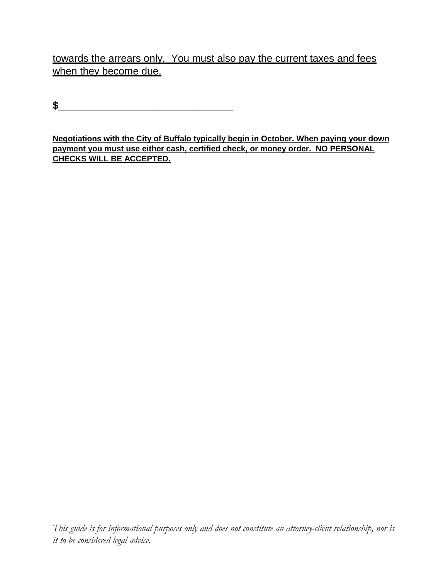towards the arrears only. You must also pay the current taxes and fees when they become due.

**\$**\_\_\_\_\_\_\_\_\_\_\_\_\_\_\_\_\_\_\_\_\_\_\_\_\_\_\_\_\_\_\_\_\_\_\_\_\_\_\_

**Negotiations with the City of Buffalo typically begin in October. When paying your down payment you must use either cash, certified check, or money order. NO PERSONAL CHECKS WILL BE ACCEPTED.**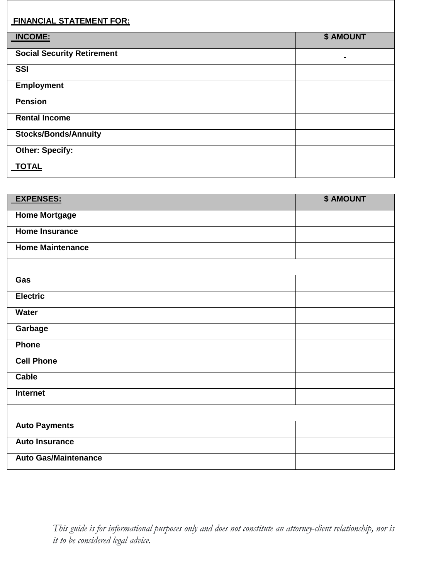#### **FINANCIAL STATEMENT FOR:**

| <b>INCOME:</b>                    | \$ AMOUNT      |  |
|-----------------------------------|----------------|--|
| <b>Social Security Retirement</b> | $\blacksquare$ |  |
| <b>SSI</b>                        |                |  |
| <b>Employment</b>                 |                |  |
| <b>Pension</b>                    |                |  |
| <b>Rental Income</b>              |                |  |
| <b>Stocks/Bonds/Annuity</b>       |                |  |
| <b>Other: Specify:</b>            |                |  |
| <b>TOTAL</b>                      |                |  |

| <b>EXPENSES:</b>            | <b>\$ AMOUNT</b> |
|-----------------------------|------------------|
| <b>Home Mortgage</b>        |                  |
| <b>Home Insurance</b>       |                  |
| <b>Home Maintenance</b>     |                  |
|                             |                  |
| Gas                         |                  |
| <b>Electric</b>             |                  |
| Water                       |                  |
| Garbage                     |                  |
| Phone                       |                  |
| <b>Cell Phone</b>           |                  |
| <b>Cable</b>                |                  |
| Internet                    |                  |
|                             |                  |
| <b>Auto Payments</b>        |                  |
| <b>Auto Insurance</b>       |                  |
| <b>Auto Gas/Maintenance</b> |                  |